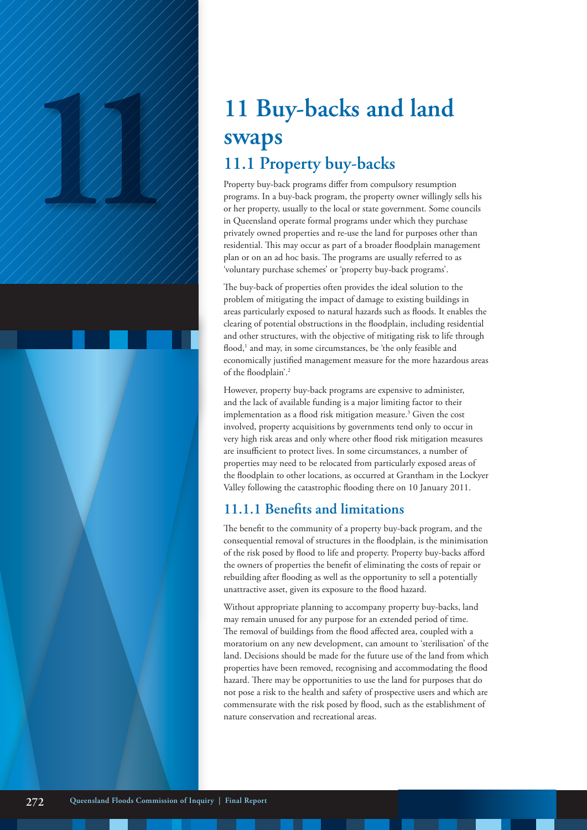# **11 Buy-backs and land**<br> **11 Buy-backs and land**<br> **11.1 Property buy-backs**<br> **11.1 Property buy-backs**<br> **Property buy-back** programs differ from compulsory resumption<br> **Property, usually to the local or state government. swaps 11.1 Property buy-backs**

Property buy-back programs differ from compulsory resumption programs. In a buy-back program, the property owner willingly sells his or her property, usually to the local or state government. Some councils in Queensland operate formal programs under which they purchase privately owned properties and re-use the land for purposes other than residential. This may occur as part of a broader floodplain management plan or on an ad hoc basis. The programs are usually referred to as 'voluntary purchase schemes' or 'property buy-back programs'.

The buy-back of properties often provides the ideal solution to the problem of mitigating the impact of damage to existing buildings in areas particularly exposed to natural hazards such as floods. It enables the clearing of potential obstructions in the floodplain, including residential and other structures, with the objective of mitigating risk to life through flood,<sup>1</sup> and may, in some circumstances, be 'the only feasible and economically justified management measure for the more hazardous areas of the floodplain'.2

However, property buy-back programs are expensive to administer, and the lack of available funding is a major limiting factor to their implementation as a flood risk mitigation measure.<sup>3</sup> Given the cost involved, property acquisitions by governments tend only to occur in very high risk areas and only where other flood risk mitigation measures are insufficient to protect lives. In some circumstances, a number of properties may need to be relocated from particularly exposed areas of the floodplain to other locations, as occurred at Grantham in the Lockyer Valley following the catastrophic flooding there on 10 January 2011.

## **11.1.1 Benefits and limitations**

The benefit to the community of a property buy-back program, and the consequential removal of structures in the floodplain, is the minimisation of the risk posed by flood to life and property. Property buy-backs afford the owners of properties the benefit of eliminating the costs of repair or rebuilding after flooding as well as the opportunity to sell a potentially unattractive asset, given its exposure to the flood hazard.

Without appropriate planning to accompany property buy-backs, land may remain unused for any purpose for an extended period of time. The removal of buildings from the flood affected area, coupled with a moratorium on any new development, can amount to 'sterilisation' of the land. Decisions should be made for the future use of the land from which properties have been removed, recognising and accommodating the flood hazard. There may be opportunities to use the land for purposes that do not pose a risk to the health and safety of prospective users and which are commensurate with the risk posed by flood, such as the establishment of nature conservation and recreational areas.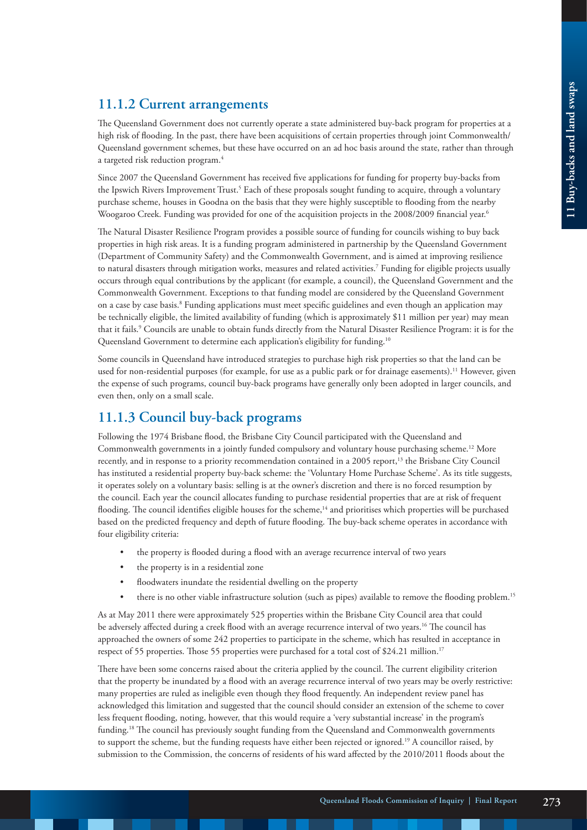### **11.1.2 Current arrangements**

The Queensland Government does not currently operate a state administered buy-back program for properties at a high risk of flooding. In the past, there have been acquisitions of certain properties through joint Commonwealth/ Queensland government schemes, but these have occurred on an ad hoc basis around the state, rather than through a targeted risk reduction program.<sup>4</sup>

Since 2007 the Queensland Government has received five applications for funding for property buy-backs from the Ipswich Rivers Improvement Trust.<sup>5</sup> Each of these proposals sought funding to acquire, through a voluntary purchase scheme, houses in Goodna on the basis that they were highly susceptible to flooding from the nearby Woogaroo Creek. Funding was provided for one of the acquisition projects in the 2008/2009 financial year.<sup>6</sup>

The Natural Disaster Resilience Program provides a possible source of funding for councils wishing to buy back properties in high risk areas. It is a funding program administered in partnership by the Queensland Government (Department of Community Safety) and the Commonwealth Government, and is aimed at improving resilience to natural disasters through mitigation works, measures and related activities.7 Funding for eligible projects usually occurs through equal contributions by the applicant (for example, a council), the Queensland Government and the Commonwealth Government. Exceptions to that funding model are considered by the Queensland Government on a case by case basis.<sup>8</sup> Funding applications must meet specific guidelines and even though an application may be technically eligible, the limited availability of funding (which is approximately \$11 million per year) may mean that it fails.9 Councils are unable to obtain funds directly from the Natural Disaster Resilience Program: it is for the Queensland Government to determine each application's eligibility for funding.10

Some councils in Queensland have introduced strategies to purchase high risk properties so that the land can be used for non-residential purposes (for example, for use as a public park or for drainage easements).<sup>11</sup> However, given the expense of such programs, council buy-back programs have generally only been adopted in larger councils, and even then, only on a small scale.

### **11.1.3 Council buy-back programs**

Following the 1974 Brisbane flood, the Brisbane City Council participated with the Queensland and Commonwealth governments in a jointly funded compulsory and voluntary house purchasing scheme.<sup>12</sup> More recently, and in response to a priority recommendation contained in a 2005 report,<sup>13</sup> the Brisbane City Council has instituted a residential property buy-back scheme: the 'Voluntary Home Purchase Scheme'. As its title suggests, it operates solely on a voluntary basis: selling is at the owner's discretion and there is no forced resumption by the council. Each year the council allocates funding to purchase residential properties that are at risk of frequent flooding. The council identifies eligible houses for the scheme,<sup>14</sup> and prioritises which properties will be purchased based on the predicted frequency and depth of future flooding. The buy-back scheme operates in accordance with four eligibility criteria:

- the property is flooded during a flood with an average recurrence interval of two years
- the property is in a residential zone
- floodwaters inundate the residential dwelling on the property
- there is no other viable infrastructure solution (such as pipes) available to remove the flooding problem.<sup>15</sup>

As at May 2011 there were approximately 525 properties within the Brisbane City Council area that could be adversely affected during a creek flood with an average recurrence interval of two years.<sup>16</sup> The council has approached the owners of some 242 properties to participate in the scheme, which has resulted in acceptance in respect of 55 properties. Those 55 properties were purchased for a total cost of \$24.21 million.<sup>17</sup>

There have been some concerns raised about the criteria applied by the council. The current eligibility criterion that the property be inundated by a flood with an average recurrence interval of two years may be overly restrictive: many properties are ruled as ineligible even though they flood frequently. An independent review panel has acknowledged this limitation and suggested that the council should consider an extension of the scheme to cover less frequent flooding, noting, however, that this would require a 'very substantial increase' in the program's funding.18 The council has previously sought funding from the Queensland and Commonwealth governments to support the scheme, but the funding requests have either been rejected or ignored.19 A councillor raised, by submission to the Commission, the concerns of residents of his ward affected by the 2010/2011 floods about the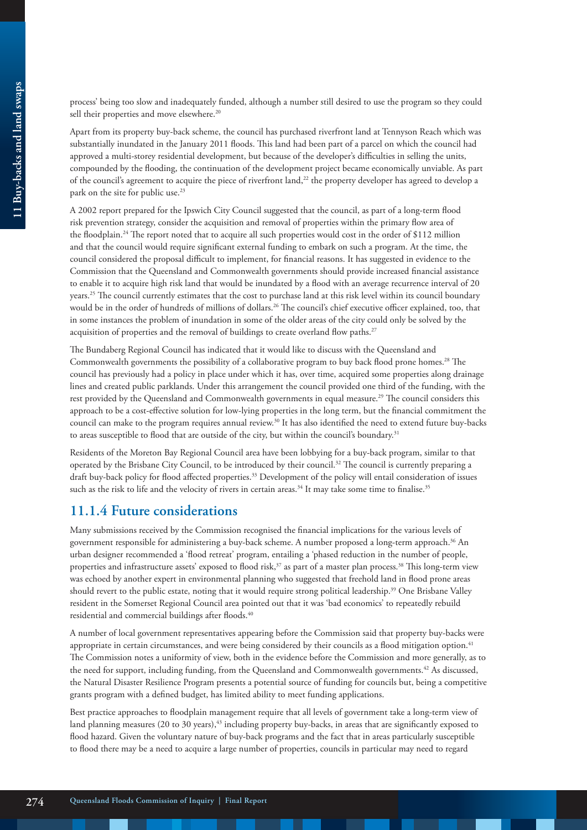Apart from its property buy-back scheme, the council has purchased riverfront land at Tennyson Reach which was substantially inundated in the January 2011 floods. This land had been part of a parcel on which the council had approved a multi-storey residential development, but because of the developer's difficulties in selling the units, compounded by the flooding, the continuation of the development project became economically unviable. As part of the council's agreement to acquire the piece of riverfront land,<sup>22</sup> the property developer has agreed to develop a park on the site for public use.<sup>23</sup>

A 2002 report prepared for the Ipswich City Council suggested that the council, as part of a long-term flood risk prevention strategy, consider the acquisition and removal of properties within the primary flow area of the floodplain.24 The report noted that to acquire all such properties would cost in the order of \$112 million and that the council would require significant external funding to embark on such a program. At the time, the council considered the proposal difficult to implement, for financial reasons. It has suggested in evidence to the Commission that the Queensland and Commonwealth governments should provide increased financial assistance to enable it to acquire high risk land that would be inundated by a flood with an average recurrence interval of 20 years.<sup>25</sup> The council currently estimates that the cost to purchase land at this risk level within its council boundary would be in the order of hundreds of millions of dollars.26 The council's chief executive officer explained, too, that in some instances the problem of inundation in some of the older areas of the city could only be solved by the acquisition of properties and the removal of buildings to create overland flow paths.27

The Bundaberg Regional Council has indicated that it would like to discuss with the Queensland and Commonwealth governments the possibility of a collaborative program to buy back flood prone homes.28 The council has previously had a policy in place under which it has, over time, acquired some properties along drainage lines and created public parklands. Under this arrangement the council provided one third of the funding, with the rest provided by the Queensland and Commonwealth governments in equal measure.29 The council considers this approach to be a cost-effective solution for low-lying properties in the long term, but the financial commitment the council can make to the program requires annual review.30 It has also identified the need to extend future buy-backs to areas susceptible to flood that are outside of the city, but within the council's boundary.31

Residents of the Moreton Bay Regional Council area have been lobbying for a buy-back program, similar to that operated by the Brisbane City Council, to be introduced by their council.32 The council is currently preparing a draft buy-back policy for flood affected properties.33 Development of the policy will entail consideration of issues such as the risk to life and the velocity of rivers in certain areas.<sup>34</sup> It may take some time to finalise.<sup>35</sup>

#### **11.1.4 Future considerations**

Many submissions received by the Commission recognised the financial implications for the various levels of government responsible for administering a buy-back scheme. A number proposed a long-term approach.36 An urban designer recommended a 'flood retreat' program, entailing a 'phased reduction in the number of people, properties and infrastructure assets' exposed to flood risk,<sup>37</sup> as part of a master plan process.<sup>38</sup> This long-term view was echoed by another expert in environmental planning who suggested that freehold land in flood prone areas should revert to the public estate, noting that it would require strong political leadership.39 One Brisbane Valley resident in the Somerset Regional Council area pointed out that it was 'bad economics' to repeatedly rebuild residential and commercial buildings after floods.<sup>40</sup>

A number of local government representatives appearing before the Commission said that property buy-backs were appropriate in certain circumstances, and were being considered by their councils as a flood mitigation option.<sup>41</sup> The Commission notes a uniformity of view, both in the evidence before the Commission and more generally, as to the need for support, including funding, from the Queensland and Commonwealth governments.<sup>42</sup> As discussed, the Natural Disaster Resilience Program presents a potential source of funding for councils but, being a competitive grants program with a defined budget, has limited ability to meet funding applications.

Best practice approaches to floodplain management require that all levels of government take a long-term view of land planning measures (20 to 30 years), $43$  including property buy-backs, in areas that are significantly exposed to flood hazard. Given the voluntary nature of buy-back programs and the fact that in areas particularly susceptible to flood there may be a need to acquire a large number of properties, councils in particular may need to regard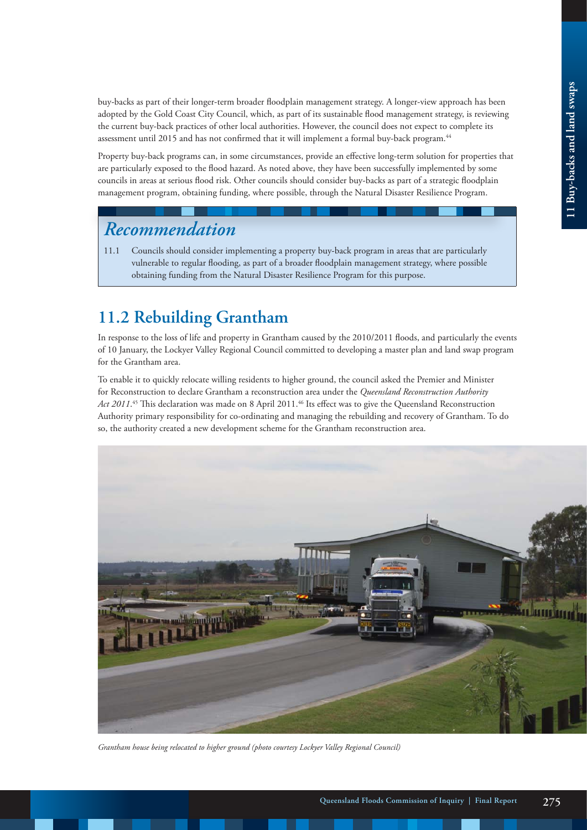buy-backs as part of their longer-term broader floodplain management strategy. A longer-view approach has been adopted by the Gold Coast City Council, which, as part of its sustainable flood management strategy, is reviewing the current buy-back practices of other local authorities. However, the council does not expect to complete its assessment until 2015 and has not confirmed that it will implement a formal buy-back program.<sup>44</sup>

Property buy-back programs can, in some circumstances, provide an effective long-term solution for properties that are particularly exposed to the flood hazard. As noted above, they have been successfully implemented by some councils in areas at serious flood risk. Other councils should consider buy-backs as part of a strategic floodplain management program, obtaining funding, where possible, through the Natural Disaster Resilience Program.

## *Recommendation*

11.1 Councils should consider implementing a property buy-back program in areas that are particularly vulnerable to regular flooding, as part of a broader floodplain management strategy, where possible obtaining funding from the Natural Disaster Resilience Program for this purpose.

# **11.2 Rebuilding Grantham**

In response to the loss of life and property in Grantham caused by the 2010/2011 floods, and particularly the events of 10 January, the Lockyer Valley Regional Council committed to developing a master plan and land swap program for the Grantham area.

To enable it to quickly relocate willing residents to higher ground, the council asked the Premier and Minister for Reconstruction to declare Grantham a reconstruction area under the *Queensland Reconstruction Authority Act 2011*. 45 This declaration was made on 8 April 2011.46 Its effect was to give the Queensland Reconstruction Authority primary responsibility for co-ordinating and managing the rebuilding and recovery of Grantham. To do so, the authority created a new development scheme for the Grantham reconstruction area.



*Grantham house being relocated to higher ground (photo courtesy Lockyer Valley Regional Council)*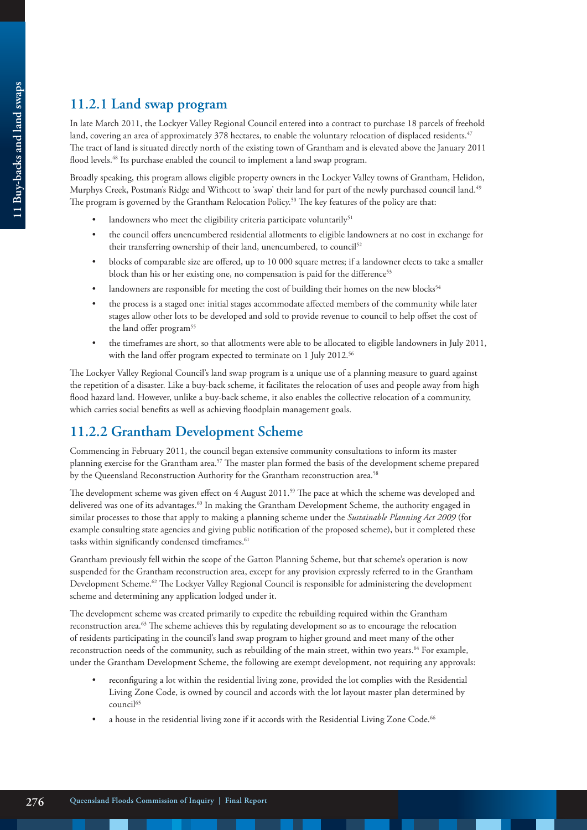## **11.2.1 Land swap program**

In late March 2011, the Lockyer Valley Regional Council entered into a contract to purchase 18 parcels of freehold land, covering an area of approximately 378 hectares, to enable the voluntary relocation of displaced residents.<sup>47</sup> The tract of land is situated directly north of the existing town of Grantham and is elevated above the January 2011 flood levels.<sup>48</sup> Its purchase enabled the council to implement a land swap program.

Broadly speaking, this program allows eligible property owners in the Lockyer Valley towns of Grantham, Helidon, Murphys Creek, Postman's Ridge and Withcott to 'swap' their land for part of the newly purchased council land.<sup>49</sup> The program is governed by the Grantham Relocation Policy.<sup>50</sup> The key features of the policy are that:

- landowners who meet the eligibility criteria participate voluntarily<sup>51</sup>
- the council offers unencumbered residential allotments to eligible landowners at no cost in exchange for their transferring ownership of their land, unencumbered, to council<sup>52</sup>
- blocks of comparable size are offered, up to 10 000 square metres; if a landowner elects to take a smaller block than his or her existing one, no compensation is paid for the difference<sup>53</sup>
- landowners are responsible for meeting the cost of building their homes on the new blocks<sup>54</sup>
- the process is a staged one: initial stages accommodate affected members of the community while later stages allow other lots to be developed and sold to provide revenue to council to help offset the cost of the land offer program<sup>55</sup>
- the timeframes are short, so that allotments were able to be allocated to eligible landowners in July 2011, with the land offer program expected to terminate on 1 July 2012.<sup>56</sup>

The Lockyer Valley Regional Council's land swap program is a unique use of a planning measure to guard against the repetition of a disaster. Like a buy-back scheme, it facilitates the relocation of uses and people away from high flood hazard land. However, unlike a buy-back scheme, it also enables the collective relocation of a community, which carries social benefits as well as achieving floodplain management goals.

## **11.2.2 Grantham Development Scheme**

Commencing in February 2011, the council began extensive community consultations to inform its master planning exercise for the Grantham area.57 The master plan formed the basis of the development scheme prepared by the Queensland Reconstruction Authority for the Grantham reconstruction area.<sup>58</sup>

The development scheme was given effect on 4 August 2011.59 The pace at which the scheme was developed and delivered was one of its advantages.<sup>60</sup> In making the Grantham Development Scheme, the authority engaged in similar processes to those that apply to making a planning scheme under the *Sustainable Planning Act 2009* (for example consulting state agencies and giving public notification of the proposed scheme), but it completed these tasks within significantly condensed timeframes.<sup>61</sup>

Grantham previously fell within the scope of the Gatton Planning Scheme, but that scheme's operation is now suspended for the Grantham reconstruction area, except for any provision expressly referred to in the Grantham Development Scheme.<sup>62</sup> The Lockyer Valley Regional Council is responsible for administering the development scheme and determining any application lodged under it.

The development scheme was created primarily to expedite the rebuilding required within the Grantham reconstruction area.63 The scheme achieves this by regulating development so as to encourage the relocation of residents participating in the council's land swap program to higher ground and meet many of the other reconstruction needs of the community, such as rebuilding of the main street, within two years.<sup>64</sup> For example, under the Grantham Development Scheme, the following are exempt development, not requiring any approvals:

- reconfiguring a lot within the residential living zone, provided the lot complies with the Residential Living Zone Code, is owned by council and accords with the lot layout master plan determined by council<sup>65</sup>
- a house in the residential living zone if it accords with the Residential Living Zone Code.<sup>66</sup>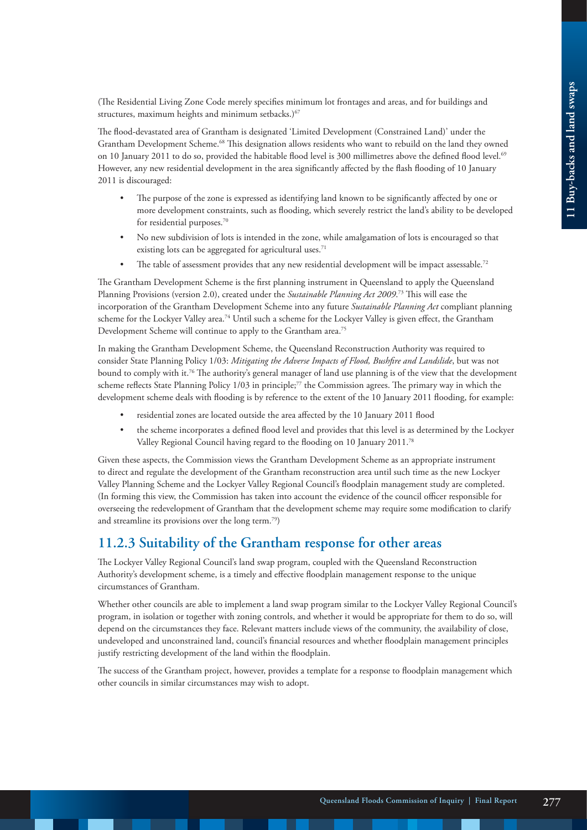(The Residential Living Zone Code merely specifies minimum lot frontages and areas, and for buildings and structures, maximum heights and minimum setbacks.)<sup>67</sup>

The flood-devastated area of Grantham is designated 'Limited Development (Constrained Land)' under the Grantham Development Scheme.68 This designation allows residents who want to rebuild on the land they owned on 10 January 2011 to do so, provided the habitable flood level is 300 millimetres above the defined flood level.<sup>69</sup> However, any new residential development in the area significantly affected by the flash flooding of 10 January 2011 is discouraged:

- The purpose of the zone is expressed as identifying land known to be significantly affected by one or more development constraints, such as flooding, which severely restrict the land's ability to be developed for residential purposes.<sup>70</sup>
- No new subdivision of lots is intended in the zone, while amalgamation of lots is encouraged so that existing lots can be aggregated for agricultural uses.<sup>71</sup>
- The table of assessment provides that any new residential development will be impact assessable.<sup>72</sup>

The Grantham Development Scheme is the first planning instrument in Queensland to apply the Queensland Planning Provisions (version 2.0), created under the *Sustainable Planning Act 2009*. 73 This will ease the incorporation of the Grantham Development Scheme into any future *Sustainable Planning Act* compliant planning scheme for the Lockyer Valley area.74 Until such a scheme for the Lockyer Valley is given effect, the Grantham Development Scheme will continue to apply to the Grantham area.<sup>75</sup>

In making the Grantham Development Scheme, the Queensland Reconstruction Authority was required to consider State Planning Policy 1/03: *Mitigating the Adverse Impacts of Flood, Bushfire and Landslide*, but was not bound to comply with it.76 The authority's general manager of land use planning is of the view that the development scheme reflects State Planning Policy 1/03 in principle;<sup>77</sup> the Commission agrees. The primary way in which the development scheme deals with flooding is by reference to the extent of the 10 January 2011 flooding, for example:

- residential zones are located outside the area affected by the 10 January 2011 flood
- the scheme incorporates a defined flood level and provides that this level is as determined by the Lockyer Valley Regional Council having regard to the flooding on 10 January 2011.78

Given these aspects, the Commission views the Grantham Development Scheme as an appropriate instrument to direct and regulate the development of the Grantham reconstruction area until such time as the new Lockyer Valley Planning Scheme and the Lockyer Valley Regional Council's floodplain management study are completed. (In forming this view, the Commission has taken into account the evidence of the council officer responsible for overseeing the redevelopment of Grantham that the development scheme may require some modification to clarify and streamline its provisions over the long term.79)

#### **11.2.3 Suitability of the Grantham response for other areas**

The Lockyer Valley Regional Council's land swap program, coupled with the Queensland Reconstruction Authority's development scheme, is a timely and effective floodplain management response to the unique circumstances of Grantham.

Whether other councils are able to implement a land swap program similar to the Lockyer Valley Regional Council's program, in isolation or together with zoning controls, and whether it would be appropriate for them to do so, will depend on the circumstances they face. Relevant matters include views of the community, the availability of close, undeveloped and unconstrained land, council's financial resources and whether floodplain management principles justify restricting development of the land within the floodplain.

The success of the Grantham project, however, provides a template for a response to floodplain management which other councils in similar circumstances may wish to adopt.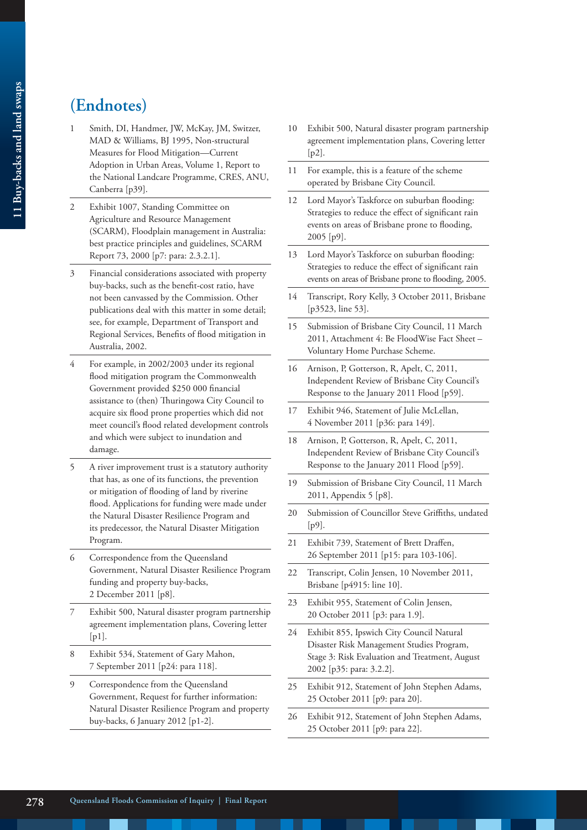# **(Endnotes)**

- 1 Smith, DI, Handmer, JW, McKay, JM, Switzer, MAD & Williams, BJ 1995, Non-structural Measures for Flood Mitigation—Current Adoption in Urban Areas, Volume 1, Report to the National Landcare Programme, CRES, ANU, Canberra [p39].
- 2 Exhibit 1007, Standing Committee on Agriculture and Resource Management (SCARM), Floodplain management in Australia: best practice principles and guidelines, SCARM Report 73, 2000 [p7: para: 2.3.2.1].
- 3 Financial considerations associated with property buy-backs, such as the benefit-cost ratio, have not been canvassed by the Commission. Other publications deal with this matter in some detail; see, for example, Department of Transport and Regional Services, Benefits of flood mitigation in Australia, 2002.
- For example, in 2002/2003 under its regional flood mitigation program the Commonwealth Government provided \$250 000 financial assistance to (then) Thuringowa City Council to acquire six flood prone properties which did not meet council's flood related development controls and which were subject to inundation and damage.
- 5 A river improvement trust is a statutory authority that has, as one of its functions, the prevention or mitigation of flooding of land by riverine flood. Applications for funding were made under the Natural Disaster Resilience Program and its predecessor, the Natural Disaster Mitigation Program.
- 6 Correspondence from the Queensland Government, Natural Disaster Resilience Program funding and property buy-backs, 2 December 2011 [p8].
- Exhibit 500, Natural disaster program partnership agreement implementation plans, Covering letter  $[p1]$ .
- 8 Exhibit 534, Statement of Gary Mahon, 7 September 2011 [p24: para 118].
- 9 Correspondence from the Queensland Government, Request for further information: Natural Disaster Resilience Program and property buy-backs, 6 January 2012 [p1-2].
- 10 Exhibit 500, Natural disaster program partnership agreement implementation plans, Covering letter [p2].
- 11 For example, this is a feature of the scheme operated by Brisbane City Council.
- 12 Lord Mayor's Taskforce on suburban flooding: Strategies to reduce the effect of significant rain events on areas of Brisbane prone to flooding, 2005 [p9].
- 13 Lord Mayor's Taskforce on suburban flooding: Strategies to reduce the effect of significant rain events on areas of Brisbane prone to flooding, 2005.
- 14 Transcript, Rory Kelly, 3 October 2011, Brisbane [p3523, line 53].
- 15 Submission of Brisbane City Council, 11 March 2011, Attachment 4: Be FloodWise Fact Sheet – Voluntary Home Purchase Scheme.
- 16 Arnison, P, Gotterson, R, Apelt, C, 2011, Independent Review of Brisbane City Council's Response to the January 2011 Flood [p59].
- 17 Exhibit 946, Statement of Julie McLellan, 4 November 2011 [p36: para 149].
- 18 Arnison, P, Gotterson, R, Apelt, C, 2011, Independent Review of Brisbane City Council's Response to the January 2011 Flood [p59].
- 19 Submission of Brisbane City Council, 11 March 2011, Appendix 5 [p8].
- 20 Submission of Councillor Steve Griffiths, undated  $[p9]$ .
- 21 Exhibit 739, Statement of Brett Draffen, 26 September 2011 [p15: para 103-106].
- 22 Transcript, Colin Jensen, 10 November 2011, Brisbane [p4915: line 10].
- 23 Exhibit 955, Statement of Colin Jensen, 20 October 2011 [p3: para 1.9].
- 24 Exhibit 855, Ipswich City Council Natural Disaster Risk Management Studies Program, Stage 3: Risk Evaluation and Treatment, August 2002 [p35: para: 3.2.2].
- 25 Exhibit 912, Statement of John Stephen Adams, 25 October 2011 [p9: para 20].
- 26 Exhibit 912, Statement of John Stephen Adams, 25 October 2011 [p9: para 22].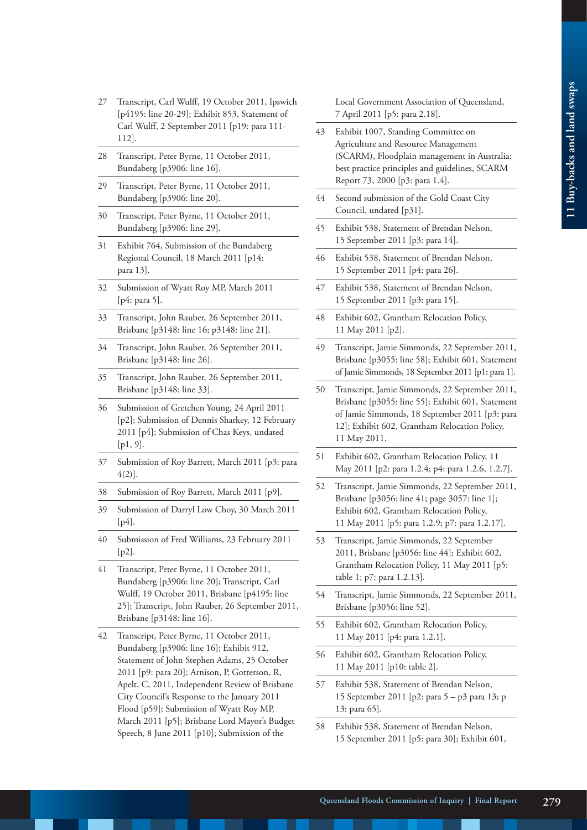- 27 Transcript, Carl Wulff, 19 October 2011, Ipswich [p4195: line 20-29]; Exhibit 853, Statement of Carl Wulff, 2 September 2011 [p19: para 111- 112].
- 28 Transcript, Peter Byrne, 11 October 2011, Bundaberg [p3906: line 16].
- 29 Transcript, Peter Byrne, 11 October 2011, Bundaberg [p3906: line 20].
- 30 Transcript, Peter Byrne, 11 October 2011, Bundaberg [p3906: line 29].
- 31 Exhibit 764, Submission of the Bundaberg Regional Council, 18 March 2011 [p14: para 13].
- 32 Submission of Wyatt Roy MP, March 2011 [p4: para 5].
- 33 Transcript, John Rauber, 26 September 2011, Brisbane [p3148: line 16; p3148: line 21].
- 34 Transcript, John Rauber, 26 September 2011, Brisbane [p3148: line 26].
- 35 Transcript, John Rauber, 26 September 2011, Brisbane [p3148: line 33].
- 36 Submission of Gretchen Young, 24 April 2011 [p2]; Submission of Dennis Sharkey, 12 February 2011 [p4]; Submission of Chas Keys, undated [p1, 9].
- 37 Submission of Roy Barrett, March 2011 [p3: para 4(2)].
- 38 Submission of Roy Barrett, March 2011 [p9].
- 39 Submission of Darryl Low Choy, 30 March 2011 [ $p4$ ].
- 40 Submission of Fred Williams, 23 February 2011 [p2].
- 41 Transcript, Peter Byrne, 11 October 2011, Bundaberg [p3906: line 20]; Transcript, Carl Wulff, 19 October 2011, Brisbane [p4195: line 25]; Transcript, John Rauber, 26 September 2011, Brisbane [p3148: line 16].
- 42 Transcript, Peter Byrne, 11 October 2011, Bundaberg [p3906: line 16]; Exhibit 912, Statement of John Stephen Adams, 25 October 2011 [p9: para 20]; Arnison, P, Gotterson, R, Apelt, C, 2011, Independent Review of Brisbane City Council's Response to the January 2011 Flood [p59]; Submission of Wyatt Roy MP, March 2011 [p5]; Brisbane Lord Mayor's Budget Speech, 8 June 2011 [p10]; Submission of the

Local Government Association of Queensland, 7 April 2011 [p5: para 2.18].

- 43 Exhibit 1007, Standing Committee on Agriculture and Resource Management (SCARM), Floodplain management in Australia: best practice principles and guidelines, SCARM Report 73, 2000 [p3: para 1.4].
- 44 Second submission of the Gold Coast City Council, undated [p31].
- 45 Exhibit 538, Statement of Brendan Nelson, 15 September 2011 [p3: para 14].
- 46 Exhibit 538, Statement of Brendan Nelson, 15 September 2011 [p4: para 26].
- 47 Exhibit 538, Statement of Brendan Nelson, 15 September 2011 [p3: para 15].
- 48 Exhibit 602, Grantham Relocation Policy, 11 May 2011 [p2].
- 49 Transcript, Jamie Simmonds, 22 September 2011, Brisbane [p3055: line 58]; Exhibit 601, Statement of Jamie Simmonds, 18 September 2011 [p1: para 1].
- 50 Transcript, Jamie Simmonds, 22 September 2011, Brisbane [p3055: line 55]; Exhibit 601, Statement of Jamie Simmonds, 18 September 2011 [p3: para 12]; Exhibit 602, Grantham Relocation Policy, 11 May 2011.
- 51 Exhibit 602, Grantham Relocation Policy, 11 May 2011 [p2: para 1.2.4; p4: para 1.2.6, 1.2.7].
- 52 Transcript, Jamie Simmonds, 22 September 2011, Brisbane [p3056: line 41; page 3057: line 1]; Exhibit 602, Grantham Relocation Policy, 11 May 2011 [p5: para 1.2.9; p7: para 1.2.17].
- 53 Transcript, Jamie Simmonds, 22 September 2011, Brisbane [p3056: line 44]; Exhibit 602, Grantham Relocation Policy, 11 May 2011 [p5: table 1; p7: para 1.2.13].
- 54 Transcript, Jamie Simmonds, 22 September 2011, Brisbane [p3056: line 52].
- 55 Exhibit 602, Grantham Relocation Policy, 11 May 2011 [p4: para 1.2.1].
- 56 Exhibit 602, Grantham Relocation Policy, 11 May 2011 [p10: table 2].
- 57 Exhibit 538, Statement of Brendan Nelson, 15 September 2011 [p2: para 5 – p3 para 13; p 13: para 65].
- 58 Exhibit 538, Statement of Brendan Nelson, 15 September 2011 [p5: para 30]; Exhibit 601,